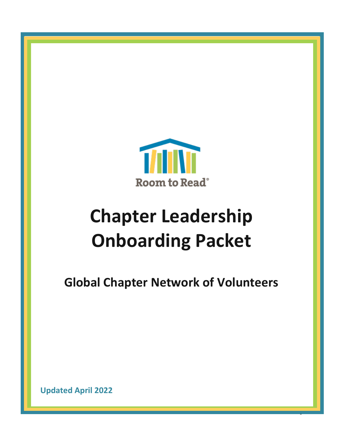

# **Chapter Leadership Onboarding Packet**

**Global Chapter Network of Volunteers** 

0

**Updated April 2022**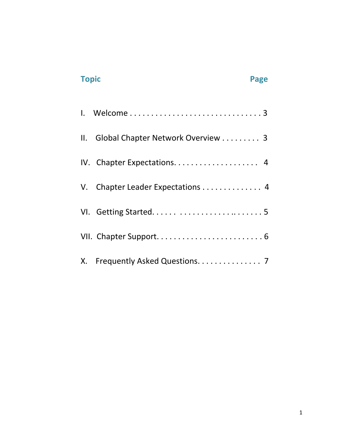# **Topic Page 2012 12:25 Page 2013**

| $\mathbf{II}$ . | Global Chapter Network Overview 3 |
|-----------------|-----------------------------------|
|                 | IV. Chapter Expectations 4        |
|                 | V. Chapter Leader Expectations 4  |
|                 |                                   |
|                 |                                   |
|                 | X. Frequently Asked Questions. 7  |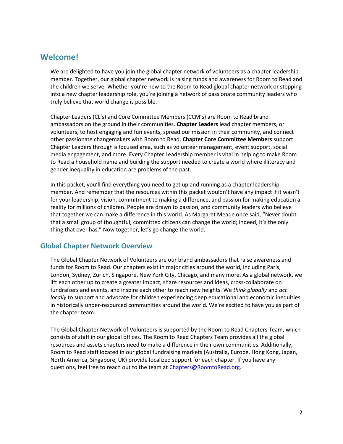# **Welcome!**

We are delighted to have you join the global chapter network of volunteers as a chapter leadership member. Together, our global chapter network is raising funds and awareness for Room to Read and the children we serve. Whether you're new to the Room to Read global chapter network or stepping into a new chapter leadership role, you're joining a network of passionate community leaders who truly believe that world change is possible.

Chapter Leaders (CL's) and Core Committee Members (CCM's) are Room to Read brand ambassadors on the ground in their communities. **Chapter Leaders** lead chapter members, or volunteers, to host engaging and fun events, spread our mission in their community, and connect other passionate changemakers with Room to Read. **Chapter Core Committee Members** support Chapter Leaders through a focused area, such as volunteer management, event support, social media engagement, and more. Every Chapter Leadership member is vital in helping to make Room to Read a household name and building the support needed to create a world where illiteracy and gender inequality in education are problems of the past.

In this packet, you'll find everything you need to get up and running as a chapter leadership member. And remember that the resources within this packet wouldn't have any impact if it wasn't for your leadership, vision, commitment to making a difference, and passion for making education a reality for millions of children. People are drawn to passion, and community leaders who believe that together we can make a difference in this world. As Margaret Meade once said, "Never doubt that a small group of thoughtful, committed citizens can change the world; indeed, it's the only thing that ever has." Now together, let's go change the world.

# **Global Chapter Network Overview**

The Global Chapter Network of Volunteers are our brand ambassadors that raise awareness and funds for Room to Read. Our chapters exist in major cities around the world, including Paris, London, Sydney, Zurich, Singapore, New York City, Chicago, and many more. As a global network, we lift each other up to create a greater impact, share resources and ideas, cross-collaborate on fundraisers and events, and inspire each other to reach new heights. We *think globally* and *act locally* to support and advocate for children experiencing deep educational and economic inequities in historically under-resourced communities around the world. We're excited to have you as part of the chapter team.

The Global Chapter Network of Volunteers is supported by the Room to Read Chapters Team, which consists of staff in our global offices. The Room to Read Chapters Team provides all the global resources and assets chapters need to make a difference in their own communities. Additionally, Room to Read staff located in our global fundraising markets (Australia, Europe, Hong Kong, Japan, North America, Singapore, UK) provide localized support for each chapter. If you have any questions, feel free to reach out to the team at [Chapters@RoomtoRead.org.](mailto:Chapters@RoomtoRead.org)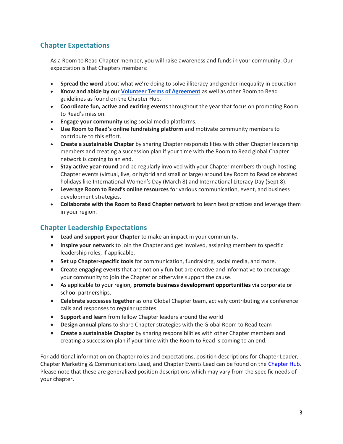# **Chapter Expectations**

As a Room to Read Chapter member, you will raise awareness and funds in your community. Our expectation is that Chapters members:

- **Spread the word** about what we're doing to solve illiteracy and gender inequality in education
- **Know and abide by our [Volunteer Terms of Agreement](https://nam10.safelinks.protection.outlook.com/?url=https%3A%2F%2Fwww.roomtoread.org%2Fmedia%2Fht3hsnjq%2Frtr-volunteer-confidentiality-agreement_jun-2021.pdf&data=04%7C01%7Cchapters%40roomtoread.org%7Cc3766fdf7d874d4ec6ab08d9e4eccd98%7Cee43a5f6ee0d4325982949f133ddbd83%7C0%7C0%7C637792527997177991%7CUnknown%7CTWFpbGZsb3d8eyJWIjoiMC4wLjAwMDAiLCJQIjoiV2luMzIiLCJBTiI6Ik1haWwiLCJXVCI6Mn0%3D%7C3000&sdata=FYU1Hu4rDt1R1oo%2BF277u9n%2FMG7UPovb8VA3cIk0VDY%3D&reserved=0)** as well as other Room to Read guidelines as found on the Chapter Hub.
- **Coordinate fun, active and exciting events** throughout the year that focus on promoting Room to Read's mission.
- **Engage your community** using social media platforms.
- **Use Room to Read's online fundraising platform** and motivate community members to contribute to this effort.
- **Create a sustainable Chapter** by sharing Chapter responsibilities with other Chapter leadership members and creating a succession plan if your time with the Room to Read global Chapter network is coming to an end.
- **Stay active year-round** and be regularly involved with your Chapter members through hosting Chapter events (virtual, live, or hybrid and small or large) around key Room to Read celebrated holidays like International Women's Day (March 8) and International Literacy Day (Sept 8).
- **Leverage Room to Read's online resources** for various communication, event, and business development strategies.
- **Collaborate with the Room to Read Chapter network** to learn best practices and leverage them in your region.

# **Chapter Leadership Expectations**

- **Lead and support your Chapter** to make an impact in your community.
- **Inspire your network** to join the Chapter and get involved, assigning members to specific leadership roles, if applicable.
- **Set up Chapter-specific tools** for communication, fundraising, social media, and more.
- **Create engaging events** that are not only fun but are creative and informative to encourage your community to join the Chapter or otherwise support the cause.
- As applicable to your region, **promote business development opportunities** via corporate or school partnerships.
- **Celebrate successes together** as one Global Chapter team, actively contributing via conference calls and responses to regular updates.
- **Support and learn** from fellow Chapter leaders around the world
- **Design annual plans** to share Chapter strategies with the Global Room to Read team
- **Create a sustainable Chapter** by sharing responsibilities with other Chapter members and creating a succession plan if your time with the Room to Read is coming to an end.

For additional information on Chapter roles and expectations, position descriptions for Chapter Leader, Chapter Marketing & Communications Lead, and Chapter Events Lead can be found on th[e Chapter Hub.](https://www.roomtoread.org/take-action/chapter-hub/chapter-management/?accordion=chapter%20leadership%20position%20descriptions) Please note that these are generalized position descriptions which may vary from the specific needs of your chapter.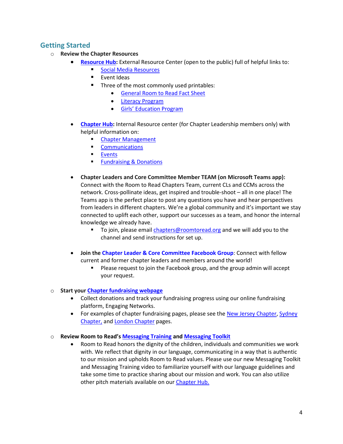# **Getting Started**

- o **Review the Chapter Resources** 
	- **[Resource Hub:](https://www.roomtoread.org/take-action/resource-hub/)** External Resource Center (open to the public) full of helpful links to:
		- [Social Media Resources](https://www.roomtoread.org/take-action/resource-hub/?tab=get%20social&accordion=investment%20opportunities)
		- Event Ideas
		- Three of the most commonly used printables:
			- [General Room to Read](https://www.roomtoread.org/media/897158/rtr-global-fact-sheet.pdf) Fact Sheet
			- [Literacy Program](https://www.roomtoread.org/media/897159/literacy-program.pdf)
			- Girls' [Education Program](https://www.roomtoread.org/media/897160/girls-education-program.pdf)
	- **[Chapter Hub:](https://www.roomtoread.org/take-action/chapter-hub)** Internal Resource center (for Chapter Leadership members only) with helpful information on:
		- **[Chapter Management](https://www.roomtoread.org/take-action/chapter-hub/chapter-management/?accordion=chapter%20leadership%20position%20descriptions)**
		- **•** [Communications](https://www.roomtoread.org/take-action/chapter-hub/communications/)
		- [Events](https://www.roomtoread.org/take-action/chapter-hub/events/)
		- **Eundraising & Donations**
	- **Chapter Leaders and Core Committee Member TEAM (on Microsoft Teams app):**  Connect with the Room to Read Chapters Team, current CLs and CCMs across the network. Cross-pollinate ideas, get inspired and trouble-shoot – all in one place! The Teams app is the perfect place to post any questions you have and hear perspectives from leaders in different chapters. We're a global community and it's important we stay connected to uplift each other, support our successes as a team, and honor the internal knowledge we already have.
		- To join, please email *chapters@roomtoread.org* and we will add you to the channel and send instructions for set up.
	- **Join the [Chapter Leader & Core Committee Facebook Group](https://www.facebook.com/groups/RtRChapterLeaders/)**: Connect with fellow current and former chapter leaders and members around the world!
		- Please request to join the Facebook group, and the group admin will accept your request.
- o **Start your [Chapter fundraising webpage](https://fundraise.roomtoread.org/room-to-read-chapters-usd/)**
	- Collect donations and track your fundraising progress using our online fundraising platform, Engaging Networks.
	- For examples of chapter fundraising pages, please see the [New Jersey Chapter,](https://fundraise.roomtoread.org/room-to-read-chapters-usd/new-jersey-chapter) Sydney [Chapter,](https://fundraise.roomtoread.org/room-to-read-chapters-aud/sydney-chapter) and [London Chapter](https://fundraise.roomtoread.org/room-to-read-chapters-gbp/london-chapter) pages.
- o **Review Room to Read's [Messaging Training](https://www.youtube.com/watch?v=97C9MMVQmMg) an[d Messaging Toolkit](https://www.roomtoread.org/take-action/chapter-hub/communications/?accordion=messaging%20training%20&%20resources)**
	- Room to Read honors the dignity of the children, individuals and communities we work with. We reflect that dignity in our language, communicating in a way that is authentic to our mission and upholds Room to Read values. Please use our new Messaging Toolkit and Messaging Training video to familiarize yourself with our language guidelines and take some time to practice sharing about our mission and work. You can also utilize other pitch materials available on our Chapter Hub.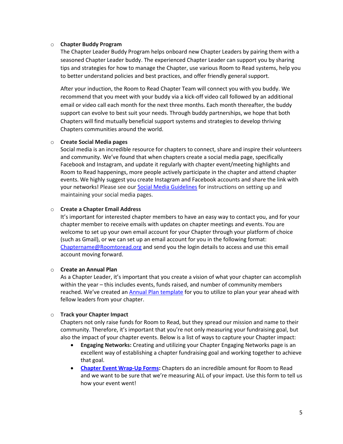#### o **Chapter Buddy Program**

The Chapter Leader Buddy Program helps onboard new Chapter Leaders by pairing them with a seasoned Chapter Leader buddy. The experienced Chapter Leader can support you by sharing tips and strategies for how to manage the Chapter, use various Room to Read systems, help you to better understand policies and best practices, and offer friendly general support.

After your induction, the Room to Read Chapter Team will connect you with you buddy. We recommend that you meet with your buddy via a kick-off video call followed by an additional email or video call each month for the next three months. Each month thereafter, the buddy support can evolve to best suit your needs. Through buddy partnerships, we hope that both Chapters will find mutually beneficial support systems and strategies to develop thriving Chapters communities around the world.

#### o **Create Social Media pages**

Social media is an incredible resource for chapters to connect, share and inspire their volunteers and community. We've found that when chapters create a social media page, specifically Facebook and Instagram, and update it regularly with chapter event/meeting highlights and Room to Read happenings, more people actively participate in the chapter and attend chapter events. We highly suggest you create Instagram and Facebook accounts and share the link with your networks! Please see our **Social Media Guidelines** for instructions on setting up and maintaining your social media pages.

#### o **Create a Chapter Email Address**

It's important for interested chapter members to have an easy way to contact you, and for your chapter member to receive emails with updates on chapter meetings and events. You are welcome to set up your own email account for your Chapter through your platform of choice (such as Gmail), or we can set up an email account for you in the following format: [Chaptername@Roomtoread.org](mailto:Chaptername@Roomtoread.org) and send you the login details to access and use this email account moving forward.

#### o **Create an Annual Plan**

As a Chapter Leader, it's important that you create a vision of what your chapter can accomplish within the year – this includes events, funds raised, and number of community members reached. We've created an [Annual Plan template](https://www.roomtoread.org/take-action/chapter-hub?tab=managing%20your%20chapter&accordion=chapter%20annual%20plans) for you to utilize to plan your year ahead with fellow leaders from your chapter.

### o **Track your Chapter Impact**

Chapters not only raise funds for Room to Read, but they spread our mission and name to their community. Therefore, it's important that you're not only measuring your fundraising goal, but also the impact of your chapter events. Below is a list of ways to capture your Chapter impact:

- **Engaging Networks:** Creating and utilizing your Chapter Engaging Networks page is an excellent way of establishing a chapter fundraising goal and working together to achieve that goal.
- **[Chapter Event Wrap-Up Forms:](https://www.tfaforms.com/4765323)** Chapters do an incredible amount for Room to Read and we want to be sure that we're measuring ALL of your impact. Use this form to tell us how your event went!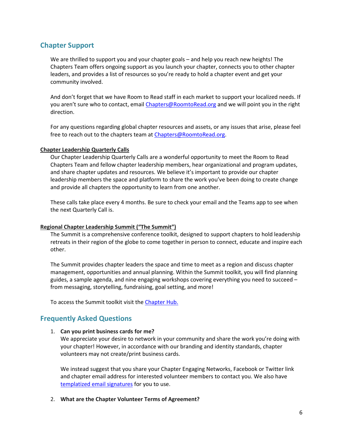# **Chapter Support**

We are thrilled to support you and your chapter goals – and help you reach new heights! The Chapters Team offers ongoing support as you launch your chapter, connects you to other chapter leaders, and provides a list of resources so you're ready to hold a chapter event and get your community involved.

And don't forget that we have Room to Read staff in each market to support your localized needs. If you aren't sure who to contact, email [Chapters@RoomtoRead.org](mailto:Chapters@RoomtoRead.org) and we will point you in the right direction.

For any questions regarding global chapter resources and assets, or any issues that arise, please feel free to reach out to the chapters team a[t Chapters@RoomtoRead.org.](mailto:Chapters@RoomtoRead.org)

### **Chapter Leadership Quarterly Calls**

Our Chapter Leadership Quarterly Calls are a wonderful opportunity to meet the Room to Read Chapters Team and fellow chapter leadership members, hear organizational and program updates, and share chapter updates and resources. We believe it's important to provide our chapter leadership members the space and platform to share the work you've been doing to create change and provide all chapters the opportunity to learn from one another.

These calls take place every 4 months. Be sure to check your email and the Teams app to see when the next Quarterly Call is.

### **Regional Chapter Leadership Summit ("The Summit")**

The Summit is a comprehensive conference toolkit, designed to support chapters to hold leadership retreats in their region of the globe to come together in person to connect, educate and inspire each other.  

The Summit provides chapter leaders the space and time to meet as a region and discuss chapter management, opportunities and annual planning. Within the Summit toolkit, you will find planning guides, a sample agenda, and nine engaging workshops covering everything you need to succeed – from messaging, storytelling, fundraising, goal setting, and more!

To access the Summit toolkit visit the Chapter Hub.

# **Frequently Asked Questions**

#### 1. **Can you print business cards for me?**

We appreciate your desire to network in your community and share the work you're doing with your chapter! However, in accordance with our branding and identity standards, chapter volunteers may not create/print business cards.

We instead suggest that you share your Chapter Engaging Networks, Facebook or Twitter link and chapter email address for interested volunteer members to contact you. We also have [templatized email signatures](https://docs.google.com/document/d/1IT_2Kzo1r_YvP5IG8zdpqm7veDwg-67m/edit?usp=sharing&ouid=111620092954040361117&rtpof=true&sd=true) for you to use.

### 2. **What are the Chapter Volunteer Terms of Agreement?**